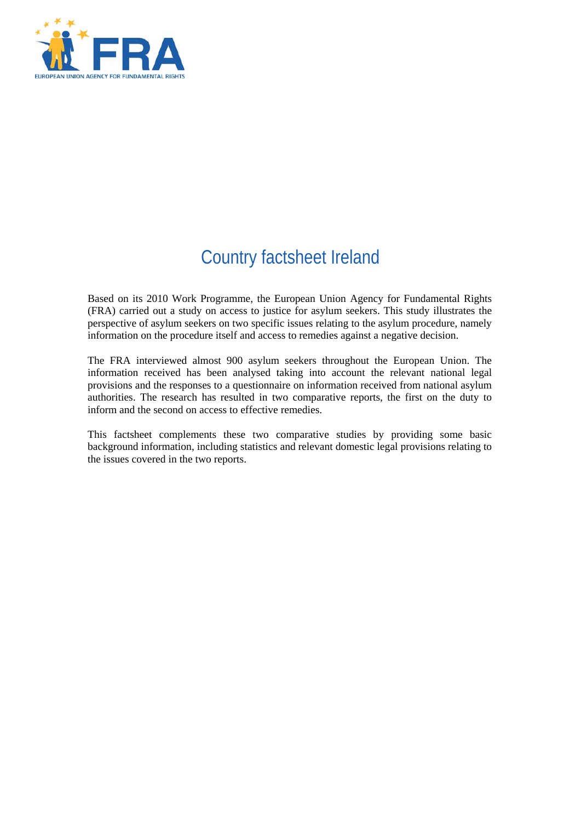

# Country factsheet Ireland

Based on its 2010 Work Programme, the European Union Agency for Fundamental Rights (FRA) carried out a study on access to justice for asylum seekers. This study illustrates the perspective of asylum seekers on two specific issues relating to the asylum procedure, namely information on the procedure itself and access to remedies against a negative decision.

The FRA interviewed almost 900 asylum seekers throughout the European Union. The information received has been analysed taking into account the relevant national legal provisions and the responses to a questionnaire on information received from national asylum authorities. The research has resulted in two comparative reports, the first on the duty to inform and the second on access to effective remedies.

This factsheet complements these two comparative studies by providing some basic background information, including statistics and relevant domestic legal provisions relating to the issues covered in the two reports.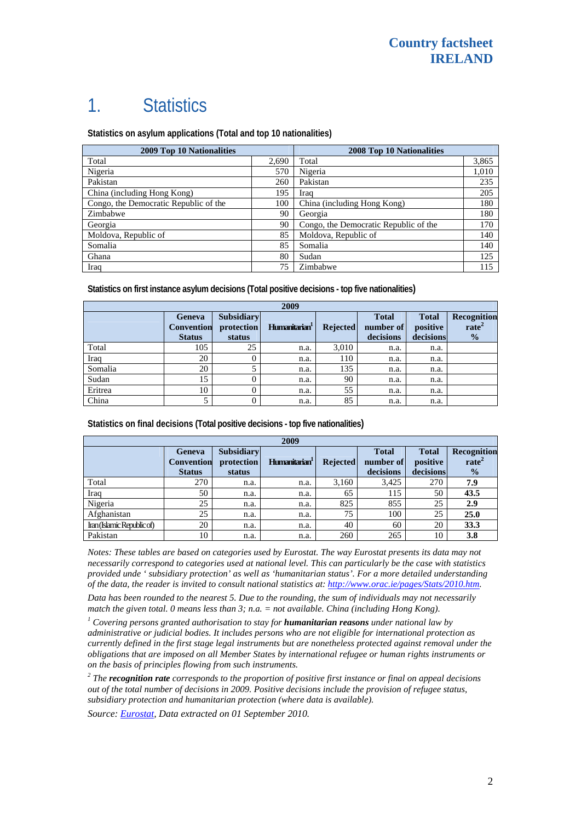## 1. Statistics

**Statistics on asylum applications (Total and top 10 nationalities)**

| <b>2009 Top 10 Nationalities</b>      |       | 2008 Top 10 Nationalities             |       |  |
|---------------------------------------|-------|---------------------------------------|-------|--|
| Total                                 | 2,690 | Total                                 | 3,865 |  |
| Nigeria                               | 570   | Nigeria                               | 1,010 |  |
| Pakistan                              | 260   | Pakistan                              | 235   |  |
| China (including Hong Kong)           | 195   | Iraq                                  | 205   |  |
| Congo, the Democratic Republic of the | 100   | China (including Hong Kong)           | 180   |  |
| Zimbabwe                              | 90    | Georgia                               | 180   |  |
| Georgia                               | 90    | Congo, the Democratic Republic of the | 170   |  |
| Moldova, Republic of                  | 85    | Moldova, Republic of                  | 140   |  |
| Somalia                               | 85    | Somalia                               | 140   |  |
| Ghana                                 | 80    | Sudan                                 | 125   |  |
| Iraq                                  | 75    | Zimbabwe                              | 115   |  |

**Statistics on first instance asylum decisions (Total positive decisions - top five nationalities)** 

| 2009    |                                              |                                           |                           |                 |                                        |                                       |                                                   |
|---------|----------------------------------------------|-------------------------------------------|---------------------------|-----------------|----------------------------------------|---------------------------------------|---------------------------------------------------|
|         | Geneva<br><b>Convention</b><br><b>Status</b> | <b>Subsidiary</b><br>protection<br>status | Humanitarian <sup>1</sup> | <b>Rejected</b> | <b>Total</b><br>number of<br>decisions | <b>Total</b><br>positive<br>decisions | Recognition<br>rate <sup>2</sup><br>$\frac{1}{2}$ |
| Total   | 105                                          | 25                                        | n.a.                      | 3,010           | n.a.                                   | n.a.                                  |                                                   |
| Iraq    | 20                                           |                                           | n.a.                      | 110             | n.a.                                   | n.a.                                  |                                                   |
| Somalia | 20                                           |                                           | n.a.                      | 135             | n.a.                                   | n.a.                                  |                                                   |
| Sudan   | 15                                           |                                           | n.a.                      | 90              | n.a.                                   | n.a.                                  |                                                   |
| Eritrea | 10                                           |                                           | n.a.                      | 55              | n.a.                                   | n.a.                                  |                                                   |
| China   | 5                                            |                                           | n.a.                      | 85              | n.a.                                   | n.a.                                  |                                                   |

**Statistics on final decisions (Total positive decisions - top five nationalities)** 

| 2009                       |                                    |                                 |                           |                 |                           |                          |                                  |
|----------------------------|------------------------------------|---------------------------------|---------------------------|-----------------|---------------------------|--------------------------|----------------------------------|
|                            | <b>Geneva</b><br><b>Convention</b> | <b>Subsidiary</b><br>protection | Humanitarian <sup>1</sup> | <b>Rejected</b> | <b>Total</b><br>number of | <b>Total</b><br>positive | Recognition<br>rate <sup>2</sup> |
|                            | <b>Status</b>                      | status                          |                           |                 | decisions                 | decisions                | $\frac{0}{2}$                    |
| Total                      | 270                                | n.a.                            | n.a.                      | 3,160           | 3.425                     | 270                      | 7.9                              |
| Iraq                       | 50                                 | n.a.                            | n.a.                      | 65              | 115                       | 50                       | 43.5                             |
| Nigeria                    | 25                                 | n.a.                            | n.a.                      | 825             | 855                       | 25                       | 2.9                              |
| Afghanistan                | 25                                 | n.a.                            | n.a.                      | 75              | 100                       | 25                       | 25.0                             |
| Iran (Islamic Republic of) | 20                                 | n.a.                            | n.a.                      | 40              | 60                        | 20                       | 33.3                             |
| Pakistan                   | 10                                 | n.a.                            | n.a.                      | 260             | 265                       | 10                       | 3.8                              |

*Notes: These tables are based on categories used by Eurostat. The way Eurostat presents its data may not necessarily correspond to categories used at national level. This can particularly be the case with statistics provided unde ' subsidiary protection' as well as 'humanitarian status'. For a more detailed understanding of the data, the reader is invited to consult national statistics at:<http://www.orac.ie/pages/Stats/2010.htm>.* 

*Data has been rounded to the nearest 5. Due to the rounding, the sum of individuals may not necessarily match the given total. 0 means less than 3; n.a. = not available. China (including Hong Kong).* 

<sup>1</sup> Covering persons granted authorisation to stay for **humanitarian reasons** under national law by *administrative or judicial bodies. It includes persons who are not eligible for international protection as currently defined in the first stage legal instruments but are nonetheless protected against removal under the obligations that are imposed on all Member States by international refugee or human rights instruments or on the basis of principles flowing from such instruments.* 

*2 The recognition rate corresponds to the proportion of positive first instance or final on appeal decisions out of the total number of decisions in 2009. Positive decisions include the provision of refugee status, subsidiary protection and humanitarian protection (where data is available).* 

*Source: [Eurostat,](http://epp.eurostat.ec.europa.eu/) Data extracted on 01 September 2010.*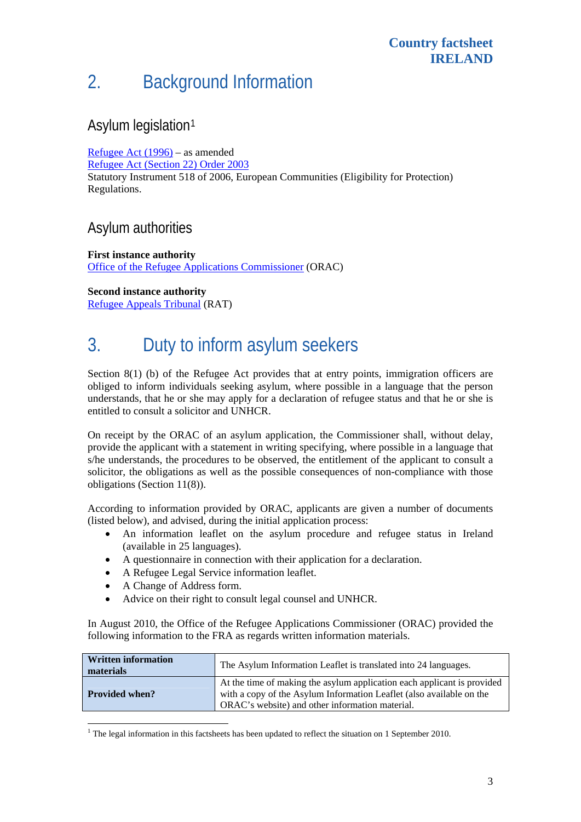# 2. Background Information

## Asylum legislation[1](#page-2-0)

[Refugee Act \(1996\)](http://www.orac.ie/PDF/PDFCustService/Law/refugee+act+1996.pdf) – as amended [Refugee Act \(Section 22\) Order 2003](http://www.irishstatutebook.ie/2003/en/si/0423.html) Statutory Instrument 518 of 2006, European Communities (Eligibility for Protection) Regulations.

### Asylum authorities

**First instance authority**  [Office of the Refugee Applications Commissioner](http://www.orac.ie/index.htm) (ORAC)

**Second instance authority**  [Refugee Appeals Tribunal](http://www.refappeal.ie/) (RAT)

# 3. Duty to inform asylum seekers

Section 8(1) (b) of the Refugee Act provides that at entry points, immigration officers are obliged to inform individuals seeking asylum, where possible in a language that the person understands, that he or she may apply for a declaration of refugee status and that he or she is entitled to consult a solicitor and UNHCR.

On receipt by the ORAC of an asylum application, the Commissioner shall, without delay, provide the applicant with a statement in writing specifying, where possible in a language that s/he understands, the procedures to be observed, the entitlement of the applicant to consult a solicitor, the obligations as well as the possible consequences of non-compliance with those obligations (Section 11(8)).

According to information provided by ORAC, applicants are given a number of documents (listed below), and advised, during the initial application process:

- An information leaflet on the asylum procedure and refugee status in Ireland (available in 25 languages).
- A questionnaire in connection with their application for a declaration.
- A Refugee Legal Service information leaflet.
- A Change of Address form.

l

Advice on their right to consult legal counsel and UNHCR.

In August 2010, the Office of the Refugee Applications Commissioner (ORAC) provided the following information to the FRA as regards written information materials.

| <b>Written information</b><br>materials | The Asylum Information Leaflet is translated into 24 languages.                                                                                                                                    |  |  |
|-----------------------------------------|----------------------------------------------------------------------------------------------------------------------------------------------------------------------------------------------------|--|--|
| <b>Provided when?</b>                   | At the time of making the asylum application each applicant is provided<br>with a copy of the Asylum Information Leaflet (also available on the<br>ORAC's website) and other information material. |  |  |

<span id="page-2-0"></span><sup>&</sup>lt;sup>1</sup> The legal information in this factsheets has been updated to reflect the situation on 1 September 2010.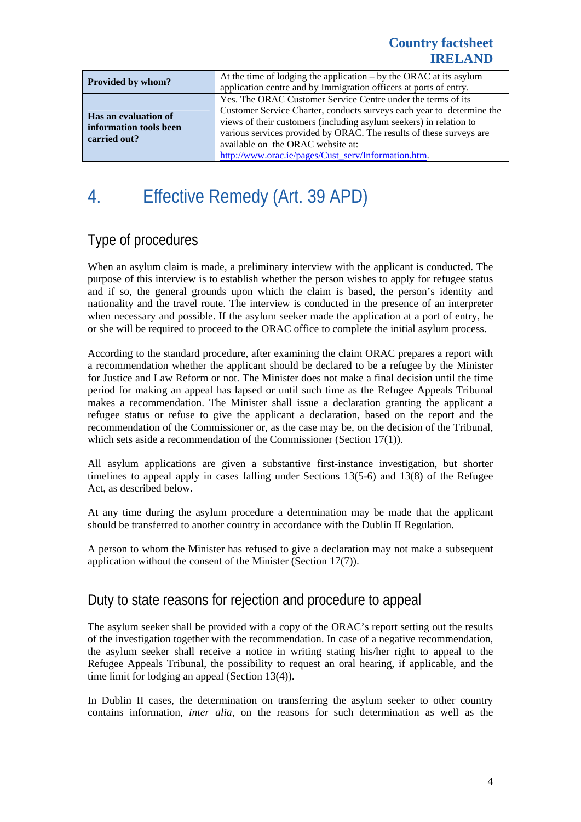#### **Country factsheet IRELAND**

| Provided by whom?                                              | At the time of lodging the application $-$ by the ORAC at its asylum<br>application centre and by Immigration officers at ports of entry.                                                                                                                                                                                                                                      |  |  |
|----------------------------------------------------------------|--------------------------------------------------------------------------------------------------------------------------------------------------------------------------------------------------------------------------------------------------------------------------------------------------------------------------------------------------------------------------------|--|--|
| Has an evaluation of<br>information tools been<br>carried out? | Yes. The ORAC Customer Service Centre under the terms of its<br>Customer Service Charter, conducts surveys each year to determine the<br>views of their customers (including asylum seekers) in relation to<br>various services provided by ORAC. The results of these surveys are<br>available on the ORAC website at:<br>http://www.orac.ie/pages/Cust serv/Information.htm. |  |  |

# 4. Effective Remedy (Art. 39 APD)

## Type of procedures

When an asylum claim is made, a preliminary interview with the applicant is conducted. The purpose of this interview is to establish whether the person wishes to apply for refugee status and if so, the general grounds upon which the claim is based, the person's identity and nationality and the travel route. The interview is conducted in the presence of an interpreter when necessary and possible. If the asylum seeker made the application at a port of entry, he or she will be required to proceed to the ORAC office to complete the initial asylum process.

According to the standard procedure, after examining the claim ORAC prepares a report with a recommendation whether the applicant should be declared to be a refugee by the Minister for Justice and Law Reform or not. The Minister does not make a final decision until the time period for making an appeal has lapsed or until such time as the Refugee Appeals Tribunal makes a recommendation. The Minister shall issue a declaration granting the applicant a refugee status or refuse to give the applicant a declaration, based on the report and the recommendation of the Commissioner or, as the case may be, on the decision of the Tribunal, which sets aside a recommendation of the Commissioner (Section 17(1)).

All asylum applications are given a substantive first-instance investigation, but shorter timelines to appeal apply in cases falling under Sections 13(5-6) and 13(8) of the Refugee Act, as described below.

At any time during the asylum procedure a determination may be made that the applicant should be transferred to another country in accordance with the Dublin II Regulation.

A person to whom the Minister has refused to give a declaration may not make a subsequent application without the consent of the Minister (Section 17(7)).

## Duty to state reasons for rejection and procedure to appeal

The asylum seeker shall be provided with a copy of the ORAC's report setting out the results of the investigation together with the recommendation. In case of a negative recommendation, the asylum seeker shall receive a notice in writing stating his/her right to appeal to the Refugee Appeals Tribunal, the possibility to request an oral hearing, if applicable, and the time limit for lodging an appeal (Section 13(4)).

In Dublin II cases, the determination on transferring the asylum seeker to other country contains information, *inter alia*, on the reasons for such determination as well as the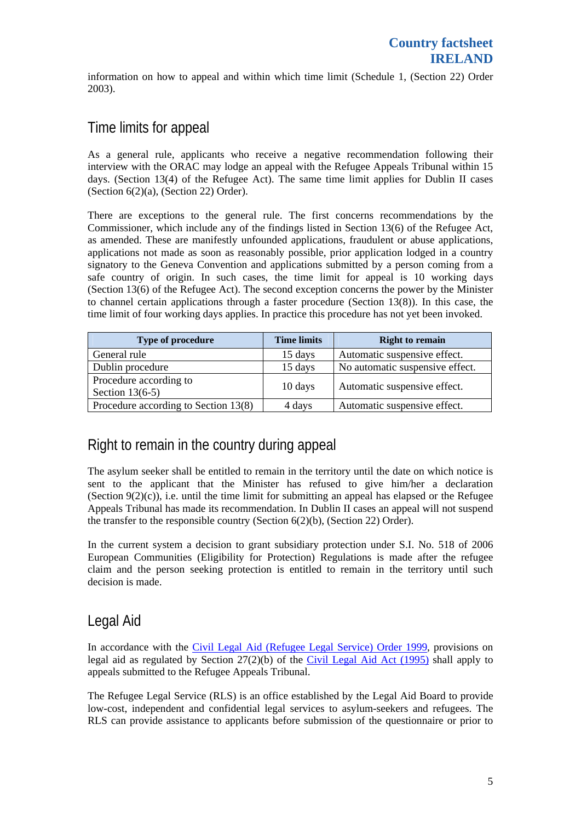information on how to appeal and within which time limit (Schedule 1, (Section 22) Order 2003).

### Time limits for appeal

As a general rule, applicants who receive a negative recommendation following their interview with the ORAC may lodge an appeal with the Refugee Appeals Tribunal within 15 days. (Section 13(4) of the Refugee Act). The same time limit applies for Dublin II cases (Section 6(2)(a), (Section 22) Order).

There are exceptions to the general rule. The first concerns recommendations by the Commissioner, which include any of the findings listed in Section 13(6) of the Refugee Act, as amended. These are manifestly unfounded applications, fraudulent or abuse applications, applications not made as soon as reasonably possible, prior application lodged in a country signatory to the Geneva Convention and applications submitted by a person coming from a safe country of origin. In such cases, the time limit for appeal is 10 working days (Section 13(6) of the Refugee Act). The second exception concerns the power by the Minister to channel certain applications through a faster procedure (Section  $13(8)$ ). In this case, the time limit of four working days applies. In practice this procedure has not yet been invoked.

| Type of procedure                    | <b>Time limits</b> | <b>Right to remain</b>          |  |
|--------------------------------------|--------------------|---------------------------------|--|
| General rule                         | 15 days            | Automatic suspensive effect.    |  |
| Dublin procedure                     | 15 days            | No automatic suspensive effect. |  |
| Procedure according to               | 10 days            | Automatic suspensive effect.    |  |
| Section $13(6-5)$                    |                    |                                 |  |
| Procedure according to Section 13(8) | 4 days             | Automatic suspensive effect.    |  |

## Right to remain in the country during appeal

The asylum seeker shall be entitled to remain in the territory until the date on which notice is sent to the applicant that the Minister has refused to give him/her a declaration (Section  $9(2)(c)$ ), i.e. until the time limit for submitting an appeal has elapsed or the Refugee Appeals Tribunal has made its recommendation. In Dublin II cases an appeal will not suspend the transfer to the responsible country (Section 6(2)(b), (Section 22) Order).

In the current system a decision to grant subsidiary protection under S.I. No. 518 of 2006 European Communities (Eligibility for Protection) Regulations is made after the refugee claim and the person seeking protection is entitled to remain in the territory until such decision is made.

### Legal Aid

In accordance with the [Civil Legal Aid \(Refugee Legal Service\) Order 1999,](http://www.irishstatutebook.ie/plweb-cgi/fastweb?state_id=1245764805&view=ag-view&numhitsfound=1&query_rule=%28%28$query3%29%29%3Alegtitle&query3=S.I.%20No%2074%2F1999%20Civil%20Legal%20Aid%20%28Refugee%20Legal%20Service%29%20Order,%201999&docid=23322&docdb=SIs&dbname=Acts&dbname=SIs&sorting=none&operator=and&TemplateName=predoc.tmpl&setCookie=1) provisions on legal aid as regulated by Section 27(2)(b) of the [Civil Legal Aid Act \(1995\)](http://www.irishstatutebook.ie/1995/en/act/pub/0032/sec0027.html#zza32y1995s27) shall apply to appeals submitted to the Refugee Appeals Tribunal.

The Refugee Legal Service (RLS) is an office established by the Legal Aid Board to provide low-cost, independent and confidential legal services to asylum-seekers and refugees. The RLS can provide assistance to applicants before submission of the questionnaire or prior to